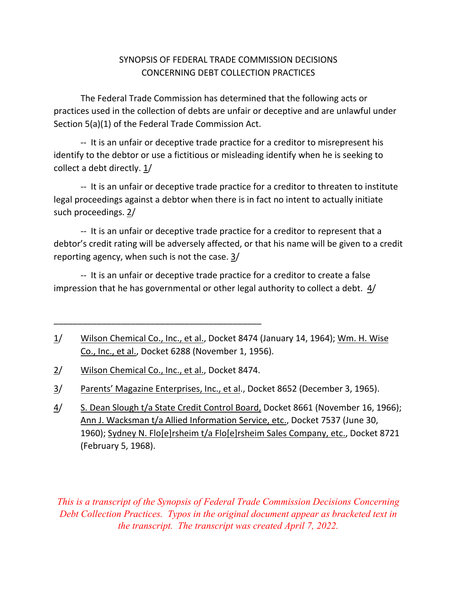## SYNOPSIS OF FEDERAL TRADE COMMISSION DECISIONS CONCERNING DEBT COLLECTION PRACTICES

The Federal Trade Commission has determined that the following acts or practices used in the collection of debts are unfair or deceptive and are unlawful under Section 5(a)(1) of the Federal Trade Commission Act.

‐‐ It is an unfair or deceptive trade practice for a creditor to misrepresent his identify to the debtor or use a fictitious or misleading identify when he is seeking to collect a debt directly.  $1/$ 

 legal proceedings against a debtor when there is in fact no intent to actually initiate ‐‐ It is an unfair or deceptive trade practice for a creditor to threaten to institute such proceedings. 2/

 debtor's credit rating will be adversely affected, or that his name will be given to a credit ‐‐ It is an unfair or deceptive trade practice for a creditor to represent that a reporting agency, when such is not the case. 3/

‐‐ It is an unfair or deceptive trade practice for a creditor to create a false impression that he has governmental or other legal authority to collect a debt. 4/

\_\_\_\_\_\_\_\_\_\_\_\_\_\_\_\_\_\_\_\_\_\_\_\_\_\_\_\_\_\_\_\_\_\_\_\_\_\_\_\_\_\_\_

*This is a transcript of the Synopsis of Federal Trade Commission Decisions Concerning Debt Collection Practices. Typos in the original document appear as bracketed text in the transcript. The transcript was created April 7, 2022.* 

<sup>1/</sup> Wilson Chemical Co., Inc., et al., Docket 8474 (January 14, 1964); Wm. H. Wise Co., Inc., et al., Docket 6288 (November 1, 1956).

<sup>2/</sup> Wilson Chemical Co., Inc., et al., Docket 8474.

<sup>3/</sup> Parents' Magazine Enterprises, Inc., et al., Docket 8652 (December 3, 1965).

<sup>4/</sup> S. Dean Slough t/a State Credit Control Board, Docket 8661 (November 16, 1966); Ann J. Wacksman t/a Allied Information Service, etc., Docket 7537 (June 30, 1960); Sydney N. Flo[e]rsheim t/a Flo[e]rsheim Sales Company, etc., Docket 8721 (February 5, 1968).